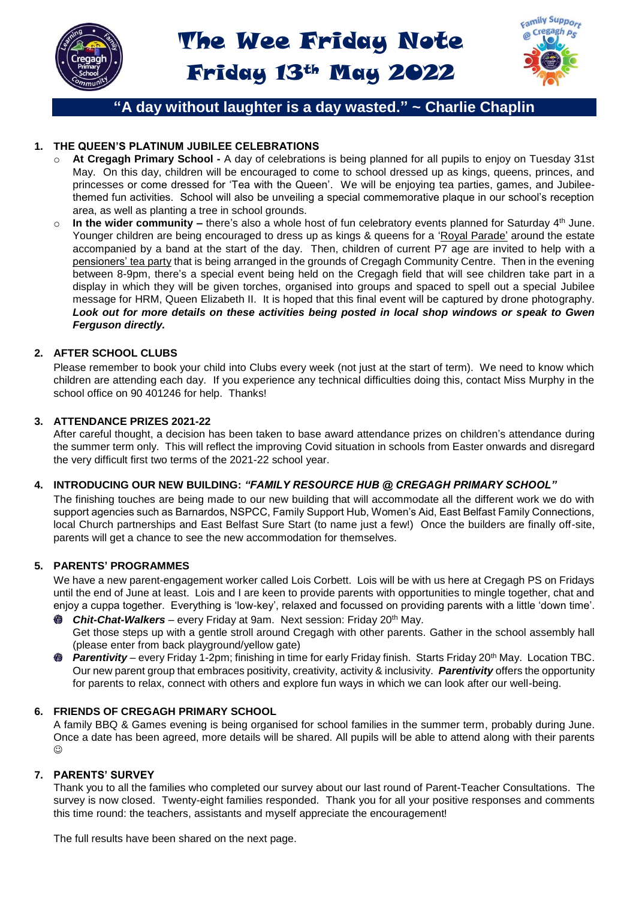



# **"A day without laughter is a day wasted." ~ Charlie Chaplin**

### **1. THE QUEEN'S PLATINUM JUBILEE CELEBRATIONS**

- At Cregagh Primary School A day of celebrations is being planned for all pupils to enjoy on Tuesday 31st May. On this day, children will be encouraged to come to school dressed up as kings, queens, princes, and princesses or come dressed for 'Tea with the Queen'. We will be enjoying tea parties, games, and Jubileethemed fun activities. School will also be unveiling a special commemorative plaque in our school's reception area, as well as planting a tree in school grounds.
- o **In the wider community –** there's also a whole host of fun celebratory events planned for Saturday 4th June. Younger children are being encouraged to dress up as kings & queens for a 'Royal Parade' around the estate accompanied by a band at the start of the day. Then, children of current P7 age are invited to help with a pensioners' tea party that is being arranged in the grounds of Cregagh Community Centre. Then in the evening between 8-9pm, there's a special event being held on the Cregagh field that will see children take part in a display in which they will be given torches, organised into groups and spaced to spell out a special Jubilee message for HRM, Queen Elizabeth II. It is hoped that this final event will be captured by drone photography. *Look out for more details on these activities being posted in local shop windows or speak to Gwen Ferguson directly.*

#### **2. AFTER SCHOOL CLUBS**

Please remember to book your child into Clubs every week (not just at the start of term). We need to know which children are attending each day. If you experience any technical difficulties doing this, contact Miss Murphy in the school office on 90 401246 for help. Thanks!

#### **3. ATTENDANCE PRIZES 2021-22**

After careful thought, a decision has been taken to base award attendance prizes on children's attendance during the summer term only. This will reflect the improving Covid situation in schools from Easter onwards and disregard the very difficult first two terms of the 2021-22 school year.

#### **4. INTRODUCING OUR NEW BUILDING:** *"FAMILY RESOURCE HUB @ CREGAGH PRIMARY SCHOOL"*

The finishing touches are being made to our new building that will accommodate all the different work we do with support agencies such as Barnardos, NSPCC, Family Support Hub, Women's Aid, East Belfast Family Connections, local Church partnerships and East Belfast Sure Start (to name just a few!) Once the builders are finally off-site, parents will get a chance to see the new accommodation for themselves.

#### **5. PARENTS' PROGRAMMES**

We have a new parent-engagement worker called Lois Corbett. Lois will be with us here at Cregagh PS on Fridays until the end of June at least. Lois and I are keen to provide parents with opportunities to mingle together, chat and enjoy a cuppa together. Everything is 'low-key', relaxed and focussed on providing parents with a little 'down time'.

- 传办 *Chit-Chat-Walkers* – every Friday at 9am. Next session: Friday 20th May. Get those steps up with a gentle stroll around Cregagh with other parents. Gather in the school assembly hall (please enter from back playground/yellow gate)
- *Parentivity*  every Friday 1-2pm; finishing in time for early Friday finish. Starts Friday 20th May. Location TBC. 卷 Our new parent group that embraces positivity, creativity, activity & inclusivity. *Parentivity* offers the opportunity for parents to relax, connect with others and explore fun ways in which we can look after our well-being.

#### **6. FRIENDS OF CREGAGH PRIMARY SCHOOL**

A family BBQ & Games evening is being organised for school families in the summer term, probably during June. Once a date has been agreed, more details will be shared. All pupils will be able to attend along with their parents  $\odot$ 

#### **7. PARENTS' SURVEY**

Thank you to all the families who completed our survey about our last round of Parent-Teacher Consultations. The survey is now closed. Twenty-eight families responded. Thank you for all your positive responses and comments this time round: the teachers, assistants and myself appreciate the encouragement!

The full results have been shared on the next page.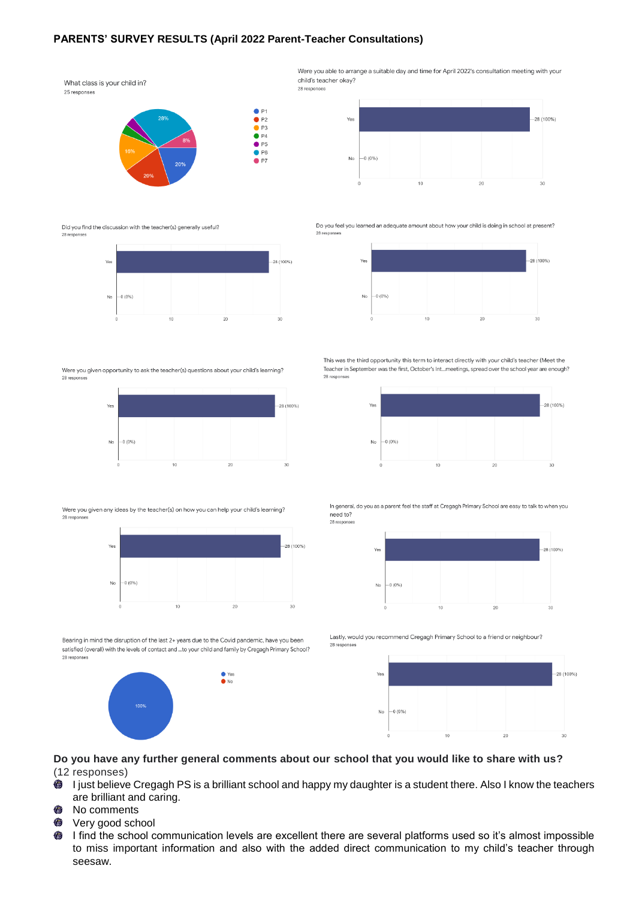#### **PARENTS' SURVEY RESULTS (April 2022 Parent-Teacher Consultations)**

What class is your child in? 25 responses



 $\bullet$  P<sub>3</sub>  $\bullet$  P4  $\bullet$  P<sub>5</sub>  $\bullet$  P6  $\rho$  P7

 $\bullet$  P1  $\bullet$  P<sub>2</sub>

Did you find the discussion with the teacher(s) generally useful?



Were you given opportunity to ask the teacher(s) questions about your child's learning? 28 response



Were you given any ideas by the teacher(s) on how you can help your child's learning? 28 response



 $\bullet$  Yes

Bearing in mind the disruption of the last 2+ years due to the Covid pandemic, have you been satisfied (overall) with the levels of contact and ...to your child and family by Cregagh Primary School? 28 responses



Were you able to arrange a suitable day and time for April 2022's consultation meeting with your child's teacher okay? 28 responses



Do you feel you learned an adequate amount about how your child is doing in school at present?  $28$ 



This was the third opportunity this term to interact directly with your child's teacher (Meet the Teacher in September was the first, October's Int...meetings, spread over the school year are enough? 28 responses



In general, do you as a parent feel the staff at Cregagh Primary School are easy to talk to when you need to? 28 respons



Lastly, would you recommend Cregagh Primary School to a friend or neighbour? 28 responses



**Do you have any further general comments about our school that you would like to share with us?** (12 responses)

- 0 I just believe Cregagh PS is a brilliant school and happy my daughter is a student there. Also I know the teachers are brilliant and caring.
- 働 No comments
- 卷 Very good school
- 6 I find the school communication levels are excellent there are several platforms used so it's almost impossible to miss important information and also with the added direct communication to my child's teacher through seesaw.